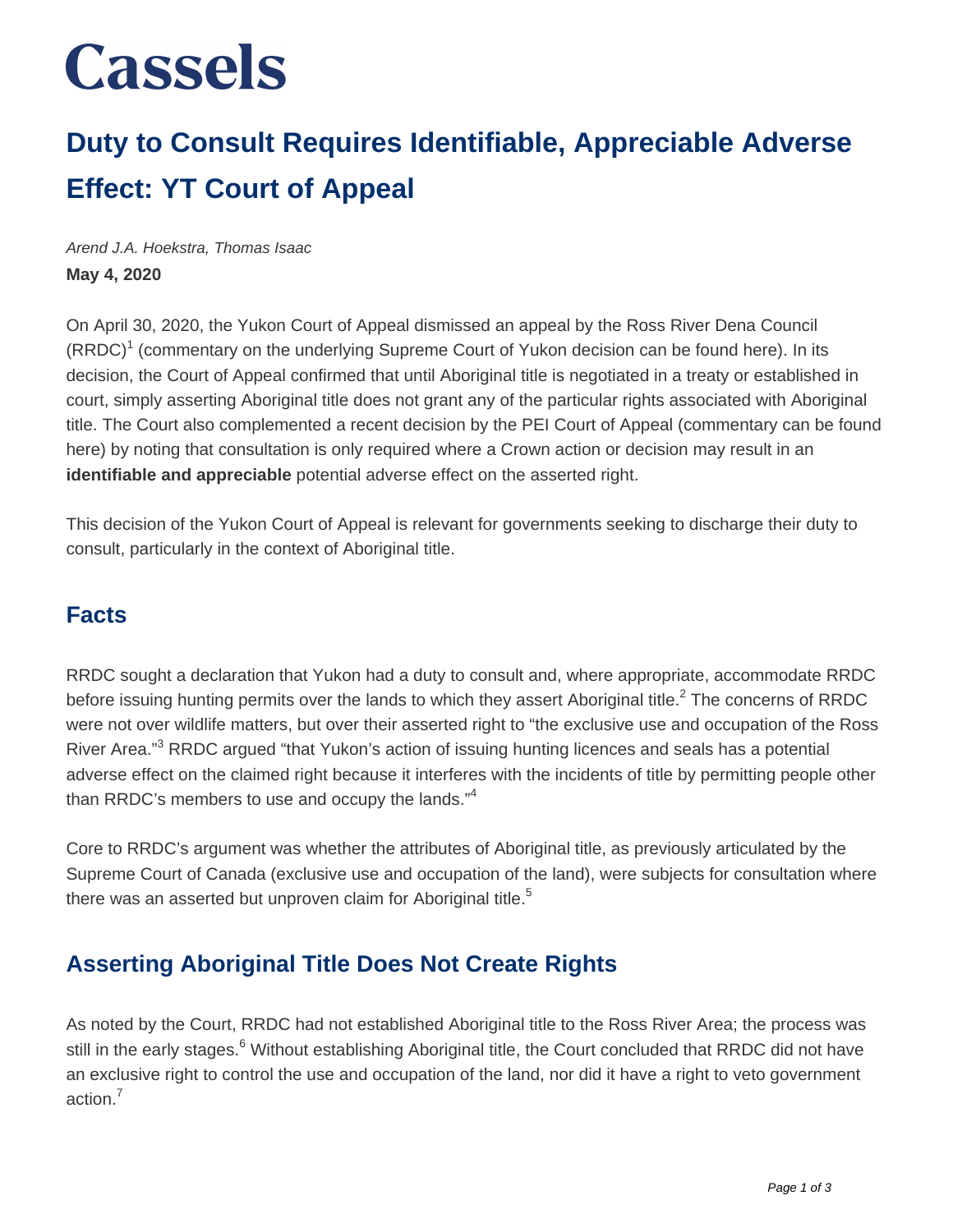# **Cassels**

### **Duty to Consult Requires Identifiable, Appreciable Adverse Effect: YT Court of Appeal**

Arend J.A. Hoekstra, Thomas Isaac **May 4, 2020**

On April 30, 2020, the Yukon Court of Appeal dismissed an appeal by the Ross River Dena Council (RRDC)<sup>1</sup> (commentary on the underlying Supreme Court of Yukon decision can be found here). In its decision, the Court of Appeal confirmed that until Aboriginal title is negotiated in a treaty or established in court, simply asserting Aboriginal title does not grant any of the particular rights associated with Aboriginal title. The Court also complemented a recent decision by the PEI Court of Appeal (commentary can be found here) by noting that consultation is only required where a Crown action or decision may result in an **identifiable and appreciable** potential adverse effect on the asserted right.

This decision of the Yukon Court of Appeal is relevant for governments seeking to discharge their duty to consult, particularly in the context of Aboriginal title.

#### **Facts**

RRDC sought a declaration that Yukon had a duty to consult and, where appropriate, accommodate RRDC before issuing hunting permits over the lands to which they assert Aboriginal title.<sup>2</sup> The concerns of RRDC were not over wildlife matters, but over their asserted right to "the exclusive use and occupation of the Ross River Area."<sup>3</sup> RRDC argued "that Yukon's action of issuing hunting licences and seals has a potential adverse effect on the claimed right because it interferes with the incidents of title by permitting people other than RRDC's members to use and occupy the lands."<sup>4</sup>

Core to RRDC's argument was whether the attributes of Aboriginal title, as previously articulated by the Supreme Court of Canada (exclusive use and occupation of the land), were subjects for consultation where there was an asserted but unproven claim for Aboriginal title.<sup>5</sup>

### **Asserting Aboriginal Title Does Not Create Rights**

As noted by the Court, RRDC had not established Aboriginal title to the Ross River Area; the process was still in the early stages.<sup>6</sup> Without establishing Aboriginal title, the Court concluded that RRDC did not have an exclusive right to control the use and occupation of the land, nor did it have a right to veto government action.<sup>7</sup>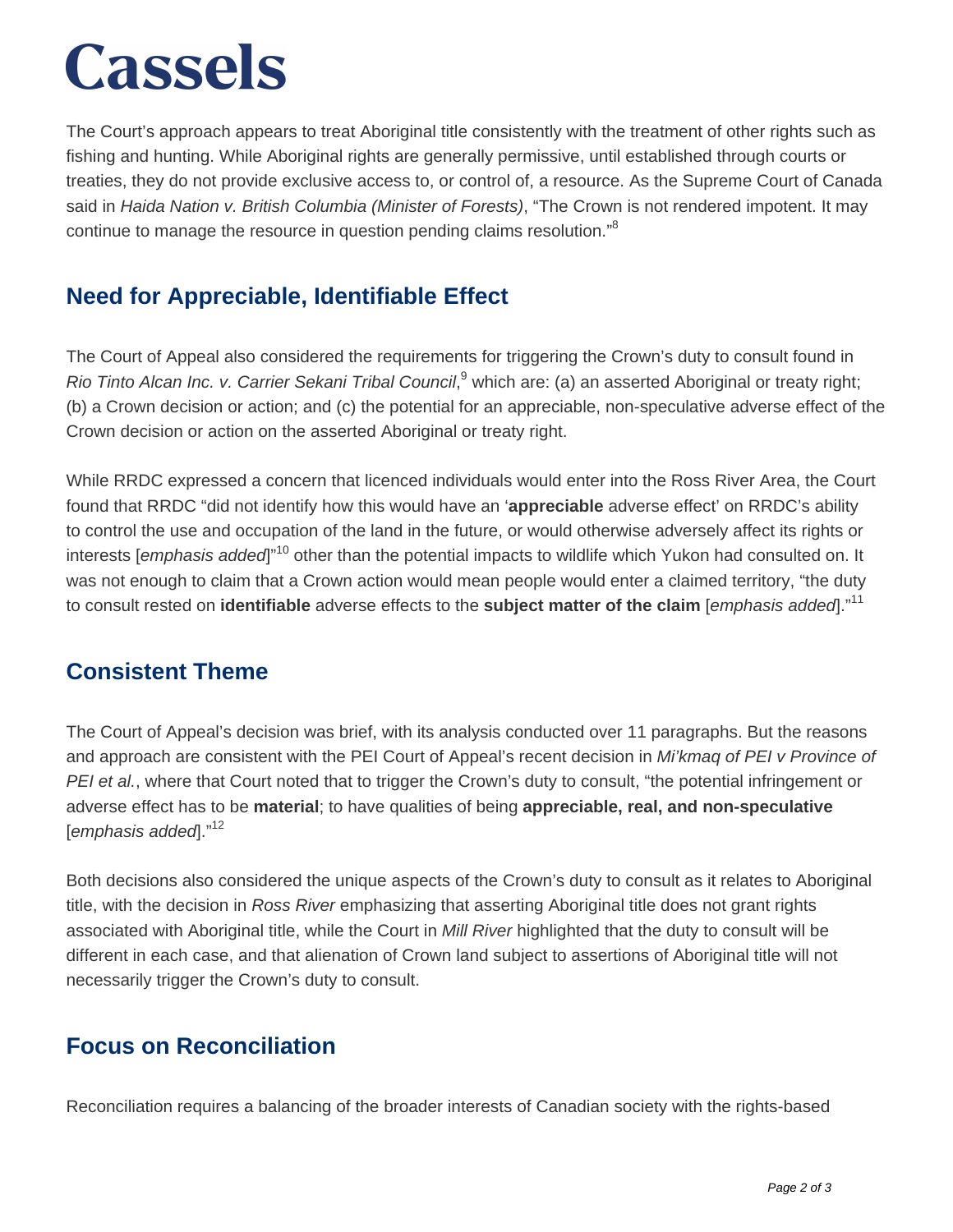# **Cassels**

The Court's approach appears to treat Aboriginal title consistently with the treatment of other rights such as fishing and hunting. While Aboriginal rights are generally permissive, until established through courts or treaties, they do not provide exclusive access to, or control of, a resource. As the Supreme Court of Canada said in Haida Nation v. British Columbia (Minister of Forests), "The Crown is not rendered impotent. It may continue to manage the resource in question pending claims resolution."<sup>8</sup>

### **Need for Appreciable, Identifiable Effect**

The Court of Appeal also considered the requirements for triggering the Crown's duty to consult found in Rio Tinto Alcan Inc. v. Carrier Sekani Tribal Council,<sup>9</sup> which are: (a) an asserted Aboriginal or treaty right; (b) a Crown decision or action; and (c) the potential for an appreciable, non-speculative adverse effect of the Crown decision or action on the asserted Aboriginal or treaty right.

While RRDC expressed a concern that licenced individuals would enter into the Ross River Area, the Court found that RRDC "did not identify how this would have an '**appreciable** adverse effect' on RRDC's ability to control the use and occupation of the land in the future, or would otherwise adversely affect its rights or interests [emphasis added]"<sup>10</sup> other than the potential impacts to wildlife which Yukon had consulted on. It was not enough to claim that a Crown action would mean people would enter a claimed territory, "the duty to consult rested on **identifiable** adverse effects to the **subject matter of the claim** [emphasis added]."<sup>11</sup>

#### **Consistent Theme**

The Court of Appeal's decision was brief, with its analysis conducted over 11 paragraphs. But the reasons and approach are consistent with the PEI Court of Appeal's recent decision in Mi'kmaq of PEI v Province of PEI et al., where that Court noted that to trigger the Crown's duty to consult, "the potential infringement or adverse effect has to be **material**; to have qualities of being **appreciable, real, and non-speculative** [emphasis added]."<sup>12</sup>

Both decisions also considered the unique aspects of the Crown's duty to consult as it relates to Aboriginal title, with the decision in Ross River emphasizing that asserting Aboriginal title does not grant rights associated with Aboriginal title, while the Court in Mill River highlighted that the duty to consult will be different in each case, and that alienation of Crown land subject to assertions of Aboriginal title will not necessarily trigger the Crown's duty to consult.

### **Focus on Reconciliation**

Reconciliation requires a balancing of the broader interests of Canadian society with the rights-based